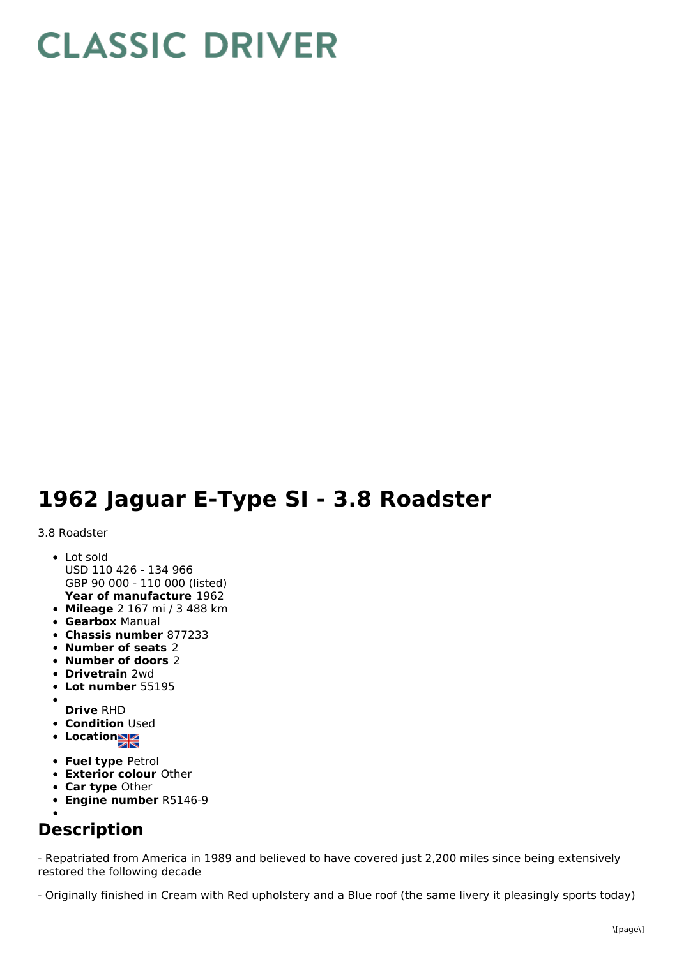## **CLASSIC DRIVER**

## **1962 Jaguar E-Type SI - 3.8 Roadster**

## 3.8 Roadster

- **Year of manufacture** 1962 • Lot sold USD 110 426 - 134 966 GBP 90 000 - 110 000 (listed)
- **Mileage** 2 167 mi / 3 488 km
- **Gearbox** Manual
- **Chassis number** 877233
- **Number of seats** 2
- **Number of doors** 2
- **Drivetrain** 2wd
- **Lot number** 55195
- **Drive** RHD
- **Condition Used**
- **Locations**
- **Fuel type** Petrol
- **Exterior colour** Other
- **Car type** Other
- **Engine number** R5146-9
- 

## **Description**

- Repatriated from America in 1989 and believed to have covered just 2,200 miles since being extensively restored the following decade

- Originally finished in Cream with Red upholstery and a Blue roof (the same livery it pleasingly sports today)